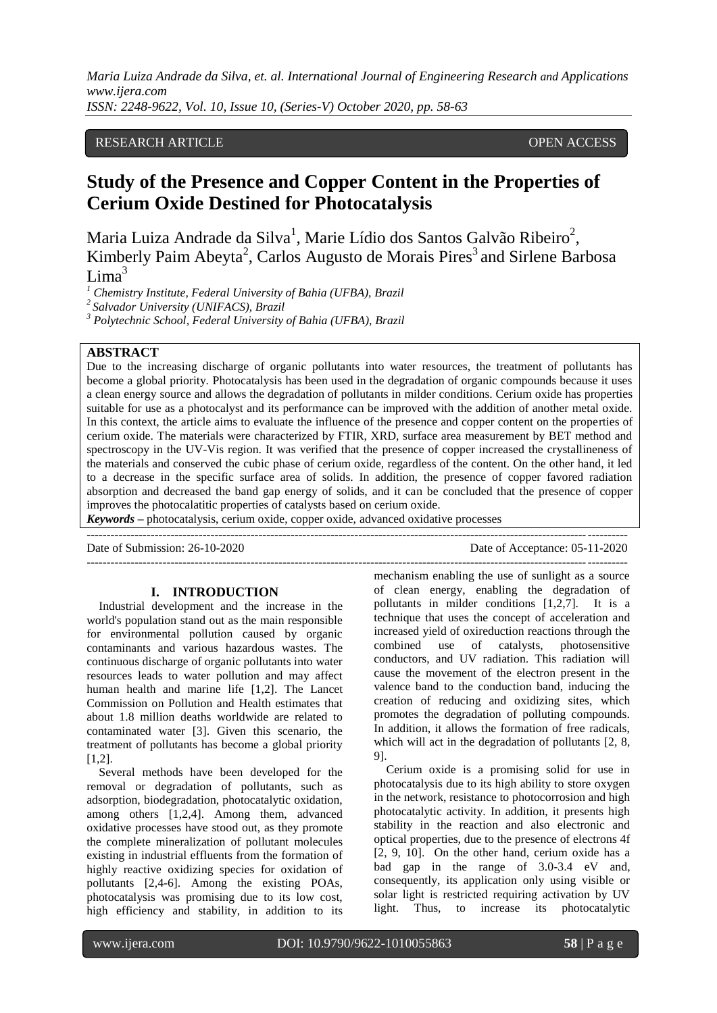*Maria Luiza Andrade da Silva, et. al. International Journal of Engineering Research and Applications www.ijera.com*

*ISSN: 2248-9622, Vol. 10, Issue 10, (Series-V) October 2020, pp. 58-63*

# RESEARCH ARTICLE **CONSERVERS** OPEN ACCESS

# **Study of the Presence and Copper Content in the Properties of Cerium Oxide Destined for Photocatalysis**

Maria Luiza Andrade da Silva<sup>1</sup>, Marie Lídio dos Santos Galvão Ribeiro<sup>2</sup>, Kimberly Paim Abeyta<sup>2</sup>, Carlos Augusto de Morais Pires<sup>3</sup> and Sirlene Barbosa  $Lima<sup>3</sup>$ 

*<sup>1</sup> Chemistry Institute, Federal University of Bahia (UFBA), Brazil*

*<sup>2</sup>Salvador University (UNIFACS), Brazil*

*<sup>3</sup> Polytechnic School, Federal University of Bahia (UFBA), Brazil*

# **ABSTRACT**

Due to the increasing discharge of organic pollutants into water resources, the treatment of pollutants has become a global priority. Photocatalysis has been used in the degradation of organic compounds because it uses a clean energy source and allows the degradation of pollutants in milder conditions. Cerium oxide has properties suitable for use as a photocalyst and its performance can be improved with the addition of another metal oxide. In this context, the article aims to evaluate the influence of the presence and copper content on the properties of cerium oxide. The materials were characterized by FTIR, XRD, surface area measurement by BET method and spectroscopy in the UV-Vis region. It was verified that the presence of copper increased the crystallineness of the materials and conserved the cubic phase of cerium oxide, regardless of the content. On the other hand, it led to a decrease in the specific surface area of solids. In addition, the presence of copper favored radiation absorption and decreased the band gap energy of solids, and it can be concluded that the presence of copper improves the photocalatitic properties of catalysts based on cerium oxide.

*Keywords* **–** photocatalysis, cerium oxide, copper oxide, advanced oxidative processes

Date of Submission: 26-10-2020 Date of Acceptance: 05-11-2020

---------------------------------------------------------------------------------------------------------------------------------------

#### **I. INTRODUCTION**

---------------------------------------------------------------------------------------------------------------------------------------

Industrial development and the increase in the world's population stand out as the main responsible for environmental pollution caused by organic contaminants and various hazardous wastes. The continuous discharge of organic pollutants into water resources leads to water pollution and may affect human health and marine life [1,2]. The Lancet Commission on Pollution and Health estimates that about 1.8 million deaths worldwide are related to contaminated water [3]. Given this scenario, the treatment of pollutants has become a global priority [1,2].

Several methods have been developed for the removal or degradation of pollutants, such as adsorption, biodegradation, photocatalytic oxidation, among others [1,2,4]. Among them, advanced oxidative processes have stood out, as they promote the complete mineralization of pollutant molecules existing in industrial effluents from the formation of highly reactive oxidizing species for oxidation of pollutants [2,4-6]. Among the existing POAs, photocatalysis was promising due to its low cost, high efficiency and stability, in addition to its

mechanism enabling the use of sunlight as a source of clean energy, enabling the degradation of pollutants in milder conditions [1,2,7]. It is a technique that uses the concept of acceleration and increased yield of oxireduction reactions through the combined use of catalysts, photosensitive conductors, and UV radiation. This radiation will cause the movement of the electron present in the valence band to the conduction band, inducing the creation of reducing and oxidizing sites, which promotes the degradation of polluting compounds. In addition, it allows the formation of free radicals, which will act in the degradation of pollutants [2, 8, 9].

Cerium oxide is a promising solid for use in photocatalysis due to its high ability to store oxygen in the network, resistance to photocorrosion and high photocatalytic activity. In addition, it presents high stability in the reaction and also electronic and optical properties, due to the presence of electrons 4f [2, 9, 10]. On the other hand, cerium oxide has a bad gap in the range of 3.0-3.4 eV and, consequently, its application only using visible or solar light is restricted requiring activation by UV light. Thus, to increase its photocatalytic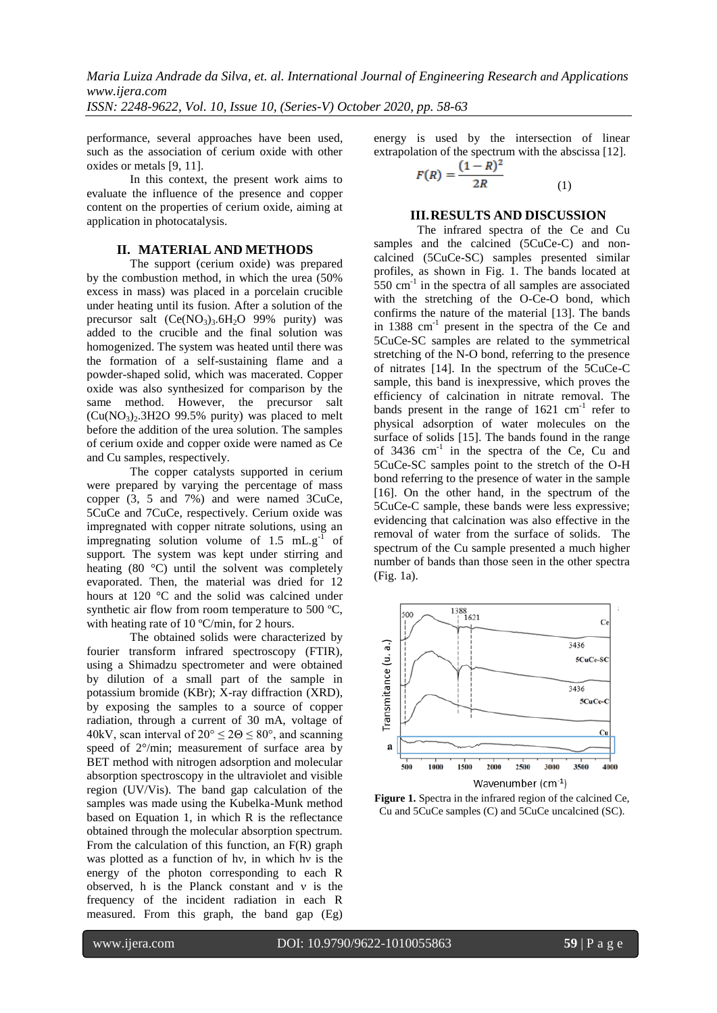*Maria Luiza Andrade da Silva, et. al. International Journal of Engineering Research and Applications www.ijera.com ISSN: 2248-9622, Vol. 10, Issue 10, (Series-V) October 2020, pp. 58-63*

performance, several approaches have been used, such as the association of cerium oxide with other oxides or metals [9, 11].

In this context, the present work aims to evaluate the influence of the presence and copper content on the properties of cerium oxide, aiming at application in photocatalysis.

## **II. MATERIAL AND METHODS**

The support (cerium oxide) was prepared by the combustion method, in which the urea (50% excess in mass) was placed in a porcelain crucible under heating until its fusion. After a solution of the precursor salt  $(Ce(NO_3)_3.6H_2O 99\%$  purity) was added to the crucible and the final solution was homogenized. The system was heated until there was the formation of a self-sustaining flame and a powder-shaped solid, which was macerated. Copper oxide was also synthesized for comparison by the same method. However, the precursor salt  $(Cu(NO<sub>3</sub>)<sub>2</sub>$ .3H2O 99.5% purity) was placed to melt before the addition of the urea solution. The samples of cerium oxide and copper oxide were named as Ce and Cu samples, respectively.

The copper catalysts supported in cerium were prepared by varying the percentage of mass copper (3, 5 and 7%) and were named 3CuCe, 5CuCe and 7CuCe, respectively. Cerium oxide was impregnated with copper nitrate solutions, using an impregnating solution volume of  $1.5 \text{ mL} \text{g}^{-1}$  of support*.* The system was kept under stirring and heating (80 °C) until the solvent was completely evaporated. Then, the material was dried for 12 hours at 120 °C and the solid was calcined under synthetic air flow from room temperature to 500 °C, with heating rate of 10 °C/min, for 2 hours.

The obtained solids were characterized by fourier transform infrared spectroscopy (FTIR), using a Shimadzu spectrometer and were obtained by dilution of a small part of the sample in potassium bromide (KBr); X-ray diffraction (XRD), by exposing the samples to a source of copper radiation, through a current of 30 mA, voltage of 40kV, scan interval of  $20^{\circ} \le 20 \le 80^{\circ}$ , and scanning speed of 2°/min; measurement of surface area by BET method with nitrogen adsorption and molecular absorption spectroscopy in the ultraviolet and visible region (UV/Vis). The band gap calculation of the samples was made using the Kubelka-Munk method based on Equation 1, in which R is the reflectance obtained through the molecular absorption spectrum. From the calculation of this function, an F(R) graph was plotted as a function of hν, in which hν is the energy of the photon corresponding to each R observed, h is the Planck constant and ν is the frequency of the incident radiation in each R measured. From this graph, the band gap (Eg)

energy is used by the intersection of linear extrapolation of the spectrum with the abscissa [12].

$$
F(R) = \frac{(1-R)^2}{2R} \tag{1}
$$

#### **III.RESULTS AND DISCUSSION**

The infrared spectra of the Ce and Cu samples and the calcined (5CuCe-C) and noncalcined (5CuCe-SC) samples presented similar profiles, as shown in Fig. 1. The bands located at 550 cm-1 in the spectra of all samples are associated with the stretching of the O-Ce-O bond, which confirms the nature of the material [13]. The bands in  $1388 \text{ cm}^{-1}$  present in the spectra of the Ce and 5CuCe-SC samples are related to the symmetrical stretching of the N-O bond, referring to the presence of nitrates [14]. In the spectrum of the 5CuCe-C sample, this band is inexpressive, which proves the efficiency of calcination in nitrate removal. The bands present in the range of  $1621 \text{ cm}^{-1}$  refer to physical adsorption of water molecules on the surface of solids [15]. The bands found in the range of 3436 cm<sup>-1</sup> in the spectra of the Ce, Cu and 5CuCe-SC samples point to the stretch of the O-H bond referring to the presence of water in the sample [16]. On the other hand, in the spectrum of the 5CuCe-C sample, these bands were less expressive; evidencing that calcination was also effective in the removal of water from the surface of solids. The spectrum of the Cu sample presented a much higher number of bands than those seen in the other spectra (Fig. 1a).



Figure 1. Spectra in the infrared region of the calcined Ce, Cu and 5CuCe samples (C) and 5CuCe uncalcined (SC).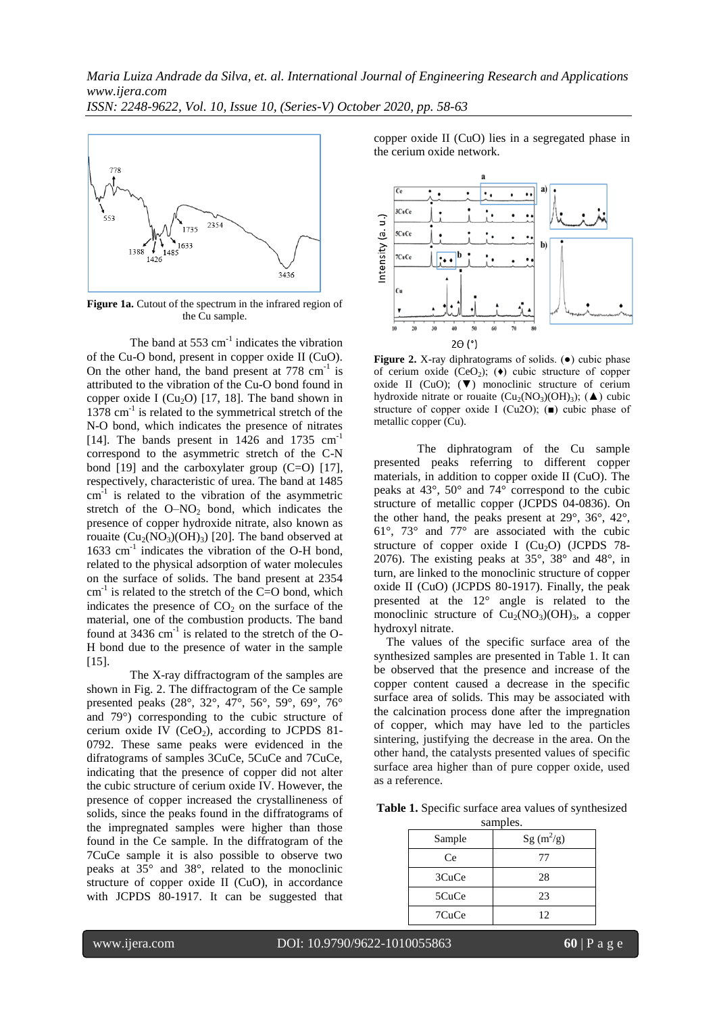

**Figure 1a.** Cutout of the spectrum in the infrared region of the Cu sample.

The band at 553  $\text{cm}^{-1}$  indicates the vibration of the Cu-O bond, present in copper oxide II (CuO). On the other hand, the band present at  $778 \text{ cm}^{-1}$  is attributed to the vibration of the Cu-O bond found in copper oxide I ( $Cu<sub>2</sub>O$ ) [17, 18]. The band shown in 1378 cm<sup>-1</sup> is related to the symmetrical stretch of the N-O bond, which indicates the presence of nitrates [14]. The bands present in  $1426$  and  $1735$   $cm^{-1}$ correspond to the asymmetric stretch of the C-N bond [19] and the carboxylater group (C=O) [17], respectively, characteristic of urea. The band at 1485  $cm<sup>-1</sup>$  is related to the vibration of the asymmetric stretch of the  $O-NO<sub>2</sub>$  bond, which indicates the presence of copper hydroxide nitrate, also known as rouaite  $(Cu_2(NO_3)(OH)_3)$  [20]. The band observed at 1633 cm<sup>-1</sup> indicates the vibration of the O-H bond, related to the physical adsorption of water molecules on the surface of solids. The band present at 2354  $cm<sup>-1</sup>$  is related to the stretch of the C=O bond, which indicates the presence of  $CO<sub>2</sub>$  on the surface of the material, one of the combustion products. The band found at 3436  $cm^{-1}$  is related to the stretch of the O-H bond due to the presence of water in the sample  $[15]$ .

The X-ray diffractogram of the samples are shown in Fig. 2. The diffractogram of the Ce sample presented peaks (28°, 32°, 47°, 56°, 59°, 69°, 76° and 79°) corresponding to the cubic structure of cerium oxide IV  $(CeO<sub>2</sub>)$ , according to JCPDS 81-0792. These same peaks were evidenced in the difratograms of samples 3CuCe, 5CuCe and 7CuCe, indicating that the presence of copper did not alter the cubic structure of cerium oxide IV. However, the presence of copper increased the crystallineness of solids, since the peaks found in the diffratograms of the impregnated samples were higher than those found in the Ce sample. In the diffratogram of the 7CuCe sample it is also possible to observe two peaks at 35° and 38°, related to the monoclinic structure of copper oxide II (CuO), in accordance with JCPDS 80-1917. It can be suggested that copper oxide II (CuO) lies in a segregated phase in the cerium oxide network.



**Figure 2.** X-ray diphratograms of solids. (●) cubic phase of cerium oxide  $(CeO<sub>2</sub>)$ ; ( $\bullet$ ) cubic structure of copper oxide II (CuO);  $(\nabla)$  monoclinic structure of cerium hydroxide nitrate or rouaite  $(Cu_2(NO_3)(OH)_3)$ ; ( $\blacktriangle$ ) cubic structure of copper oxide I (Cu2O); (■) cubic phase of metallic copper (Cu).

The diphratogram of the Cu sample presented peaks referring to different copper materials, in addition to copper oxide II (CuO). The peaks at 43°, 50° and 74° correspond to the cubic structure of metallic copper (JCPDS 04-0836). On the other hand, the peaks present at 29°, 36°, 42°, 61°, 73° and 77° are associated with the cubic structure of copper oxide I  $(Cu_2O)$  (JCPDS 78-2076). The existing peaks at 35°, 38° and 48°, in turn, are linked to the monoclinic structure of copper oxide II (CuO) (JCPDS 80-1917). Finally, the peak presented at the 12° angle is related to the monoclinic structure of  $Cu_2(NO_3)(OH)_3$ , a copper hydroxyl nitrate.

The values of the specific surface area of the synthesized samples are presented in Table 1. It can be observed that the presence and increase of the copper content caused a decrease in the specific surface area of solids. This may be associated with the calcination process done after the impregnation of copper, which may have led to the particles sintering, justifying the decrease in the [area. On](https://ssl.microsofttranslator.com/bv.aspx?ref=TAns&from=&to=en&a=area.On) the other hand, the catalysts presented values of specific surface area higher than of pure copper oxide, used as a reference.

**Table 1.** Specific surface area values of synthesized samples.

| $v_{\rm{unup}}$ |             |
|-----------------|-------------|
| Sample          | $Sg(m^2/g)$ |
| Ce              | 77          |
| 3CuCe           | 28          |
| 5CuCe           | 23          |
| 7CuCe           | 12          |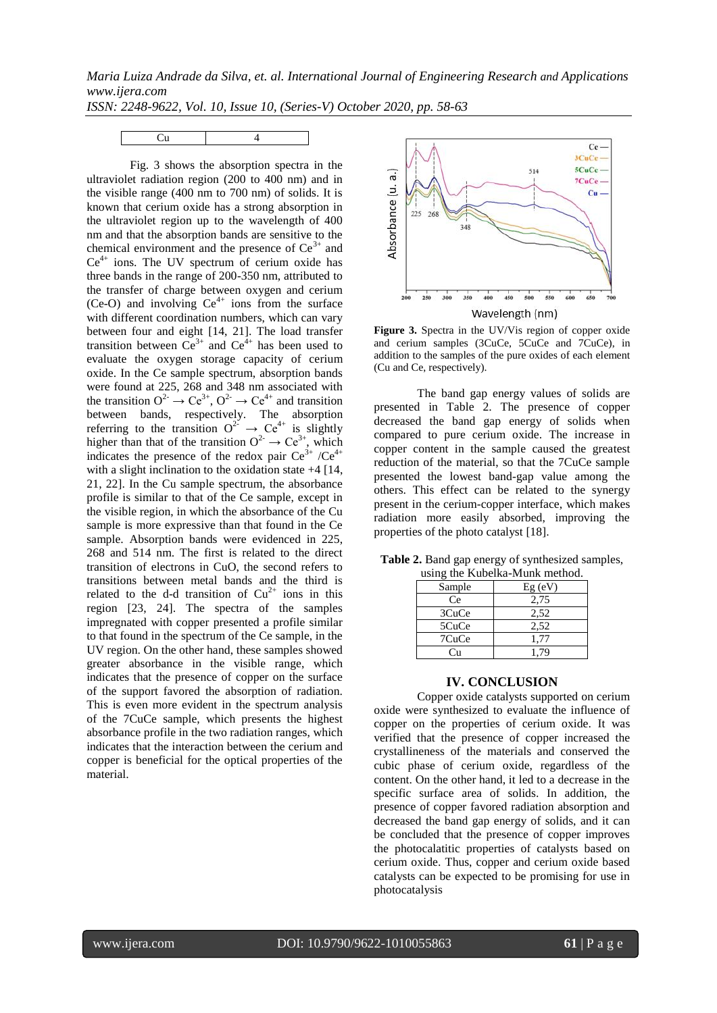*Maria Luiza Andrade da Silva, et. al. International Journal of Engineering Research and Applications www.ijera.com*

*ISSN: 2248-9622, Vol. 10, Issue 10, (Series-V) October 2020, pp. 58-63*



Fig. 3 shows the absorption spectra in the ultraviolet radiation region (200 to 400 nm) and in the visible range (400 nm to 700 nm) of solids. It is known that cerium oxide has a strong absorption in the ultraviolet region up to the wavelength of 400 nm and that the absorption bands are sensitive to the chemical environment and the presence of  $Ce^{3+}$  and  $Ce<sup>4+</sup>$  ions. The UV spectrum of cerium oxide has three bands in the range of 200-350 nm, attributed to the transfer of charge between oxygen and cerium (Ce-O) and involving  $Ce<sup>4+</sup>$  ions from the surface with different coordination numbers, which can vary between four and eight [14, 21]. The load transfer transition between  $Ce^{3+}$  and  $Ce^{4+}$  has been used to evaluate the oxygen storage capacity of cerium oxide. In the Ce sample spectrum, absorption bands were found at 225, 268 and 348 nm associated with the transition  $O^2 \rightarrow Ce^{3+}$ ,  $O^2 \rightarrow Ce^{4+}$  and transition between bands, respectively. The absorption referring to the transition  $O^{2^2} \rightarrow Ce^{4+}$  is slightly higher than that of the transition  $O^{2-} \rightarrow Ce^{3+}$ , which indicates the presence of the redox pair  $Ce^{3+}$  /Ce<sup>4+</sup> with a slight inclination to the oxidation state  $+4$  [14, 21, 22]. In the Cu sample spectrum, the absorbance profile is similar to that of the Ce sample, except in the visible region, in which the absorbance of the Cu sample is more expressive than that found in the Ce sample. Absorption bands were evidenced in 225, 268 and 514 nm. The first is related to the direct transition of electrons in CuO, the second refers to transitions between metal bands and the third is related to the d-d transition of  $Cu^{2+}$  ions in this region [23, 24]. The spectra of the samples impregnated with copper presented a profile similar to that found in the spectrum of the Ce sample, in the UV region. On the other hand, these samples showed greater absorbance in the visible range, which indicates that the presence of copper on the surface of the support favored the absorption of radiation. This is even more evident in the spectrum analysis of the 7CuCe sample, which presents the highest absorbance profile in the two radiation ranges, which indicates that the interaction between the cerium and copper is beneficial for the optical properties of the material.



**Figure 3.** Spectra in the UV/Vis region of copper oxide and cerium samples (3CuCe, 5CuCe and 7CuCe), in addition to the samples of the pure oxides of each element (Cu and Ce, respectively).

The band gap energy values of solids are presented in Table 2. The presence of copper decreased the band gap energy of solids when compared to pure cerium oxide. The increase in copper content in the sample caused the greatest reduction of the material, so that the 7CuCe sample presented the lowest band-gap value among the others. This effect can be related to the synergy present in the cerium-copper interface, which makes radiation more easily absorbed, improving the properties of the photo catalyst [18].

| using the Kubelka-Munk method. |           |
|--------------------------------|-----------|
| Sample                         | $Eg$ (eV) |
| Ce.                            | 2,75      |
| 3CuCe                          | 2,52      |
| 5CuCe                          | 2,52      |
| 7CuCe                          | 1,77      |
| ( ՝ո                           | 1.79      |

**Table 2.** Band gap energy of synthesized samples, using the Kubelka-Munk method.

#### **IV. CONCLUSION**

Copper oxide catalysts supported on cerium oxide were synthesized to evaluate the influence of copper on the properties of cerium oxide. It was verified that the presence of copper increased the crystallineness of the materials and conserved the cubic phase of cerium oxide, regardless of the content. On the other hand, it led to a decrease in the specific surface area of solids. In addition, the presence of copper favored radiation absorption and decreased the band gap energy of solids, and it can be concluded that the presence of copper improves the photocalatitic properties of catalysts based on cerium oxide. Thus, copper and cerium oxide based catalysts can be expected to be promising for use in photocatalysis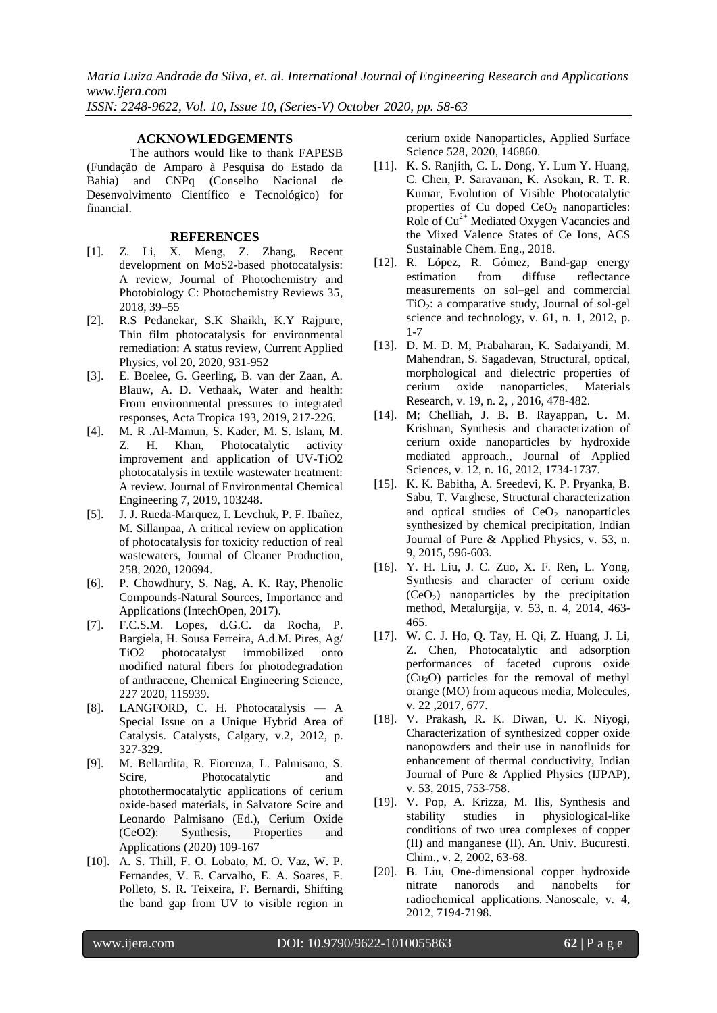*Maria Luiza Andrade da Silva, et. al. International Journal of Engineering Research and Applications www.ijera.com*

*ISSN: 2248-9622, Vol. 10, Issue 10, (Series-V) October 2020, pp. 58-63*

## **ACKNOWLEDGEMENTS**

The authors would like to thank FAPESB (Fundação de Amparo à Pesquisa do Estado da Bahia) and CNPq (Conselho Nacional de Desenvolvimento Científico e Tecnológico) for financial.

## **REFERENCES**

- [1]. Z. Li, X. Meng, Z. Zhang, Recent development on MoS2-based photocatalysis: A review, Journal of Photochemistry and Photobiology C: Photochemistry Reviews 35, 2018, 39–55
- [2]. R.S Pedanekar, S.K Shaikh, K.Y Rajpure, Thin film photocatalysis for environmental remediation: A status review, Current Applied Physics, vol 20, 2020, 931-952
- [3]. E. Boelee, G. Geerling, B. van der Zaan, A. Blauw, A. D. Vethaak, Water and health: From environmental pressures to integrated responses, Acta Tropica 193, 2019, 217-226.
- [4]. M. R .Al-Mamun, S. Kader, M. S. Islam, M. Z. H. Khan, Photocatalytic activity improvement and application of UV-TiO2 photocatalysis in textile wastewater treatment: A review. Journal of Environmental Chemical Engineering 7, 2019, 103248.
- [5]. J. J. Rueda-Marquez, I. Levchuk, P. F. Ibañez, M. Sillanpaa, A critical review on application of photocatalysis for toxicity reduction of real wastewaters, Journal of Cleaner Production, 258, 2020, 120694.
- [6]. P. Chowdhury, S. Nag, A. K. Ray, Phenolic Compounds-Natural Sources, Importance and Applications (IntechOpen, 2017).
- [7]. F.C.S.M. Lopes, d.G.C. da Rocha, P. Bargiela, H. Sousa Ferreira, A.d.M. Pires, Ag/ TiO2 photocatalyst immobilized onto modified natural fibers for photodegradation of anthracene, Chemical Engineering Science, 227 2020, 115939.
- [8]. LANGFORD, C. H. Photocatalysis A Special Issue on a Unique Hybrid Area of Catalysis. Catalysts, Calgary, v.2, 2012, p. 327-329.
- [9]. M. Bellardita, R. Fiorenza, L. Palmisano, S. Scire, Photocatalytic and photothermocatalytic applications of cerium oxide-based materials, in Salvatore Scire and Leonardo Palmisano (Ed.), Cerium Oxide (CeO2): Synthesis, Properties and Applications (2020) 109-167
- [10]. A. S. Thill, F. O. Lobato, M. O. Vaz, W. P. Fernandes, V. E. Carvalho, E. A. Soares, F. Polleto, S. R. Teixeira, F. Bernardi, Shifting the band gap from UV to visible region in

cerium oxide Nanoparticles, Applied Surface Science 528, 2020, 146860.

- [11]. K. S. Ranjith, C. L. Dong, Y. Lum Y. Huang, C. Chen, P. Saravanan, K. Asokan, R. T. R. Kumar, Evolution of Visible Photocatalytic properties of Cu doped  $CeO<sub>2</sub>$  nanoparticles: Role of  $Cu<sup>2+</sup>$  Mediated Oxygen Vacancies and the Mixed Valence States of Ce Ions, ACS Sustainable Chem. Eng., 2018.
- [12]. R. López, R. Gómez, Band-gap energy estimation from diffuse reflectance measurements on sol–gel and commercial  $TiO<sub>2</sub>$ : a comparative study, Journal of sol-gel science and technology, v. 61, n. 1, 2012, p. 1-7
- [13]. D. M. D. M, Prabaharan, K. Sadaiyandi, M. Mahendran, S. Sagadevan, Structural, optical, morphological and dielectric properties of cerium oxide nanoparticles, Materials Research, v. 19, n. 2, , 2016, 478-482.
- [14]. M; Chelliah, J. B. B. Rayappan, U. M. Krishnan, Synthesis and characterization of cerium oxide nanoparticles by hydroxide mediated approach., Journal of Applied Sciences, v. 12, n. 16, 2012, 1734-1737.
- [15]. K. K. Babitha, A. Sreedevi, K. P. Pryanka, B. Sabu, T. Varghese, Structural characterization and optical studies of  $CeO<sub>2</sub>$  nanoparticles synthesized by chemical precipitation, Indian Journal of Pure & Applied Physics, v. 53, n. 9, 2015, 596-603.
- [16]. Y. H. Liu, J. C. Zuo, X. F. Ren, L. Yong, Synthesis and character of cerium oxide (CeO2) nanoparticles by the precipitation method, Metalurgija, v. 53, n. 4, 2014, 463- 465.
- [17]. W. C. J. Ho, Q. Tay, H. Qi, Z. Huang, J. Li, Z. Chen, Photocatalytic and adsorption performances of faceted cuprous oxide  $(Cu<sub>2</sub>O)$  particles for the removal of methyl orange (MO) from aqueous media, Molecules, v. 22 ,2017, 677.
- [18]. V. Prakash, R. K. Diwan, U. K. Niyogi, Characterization of synthesized copper oxide nanopowders and their use in nanofluids for enhancement of thermal conductivity, Indian Journal of Pure & Applied Physics (IJPAP), v. 53, 2015, 753-758.
- [19]. V. Pop, A. Krizza, M. Ilis, Synthesis and stability studies in physiological-like conditions of two urea complexes of copper (II) and manganese (II). An. Univ. Bucuresti. Chim., v. 2, 2002, 63-68.
- [20]. B. Liu, One-dimensional copper hydroxide nitrate nanorods and nanobelts for radiochemical applications. Nanoscale, v. 4, 2012, 7194-7198.